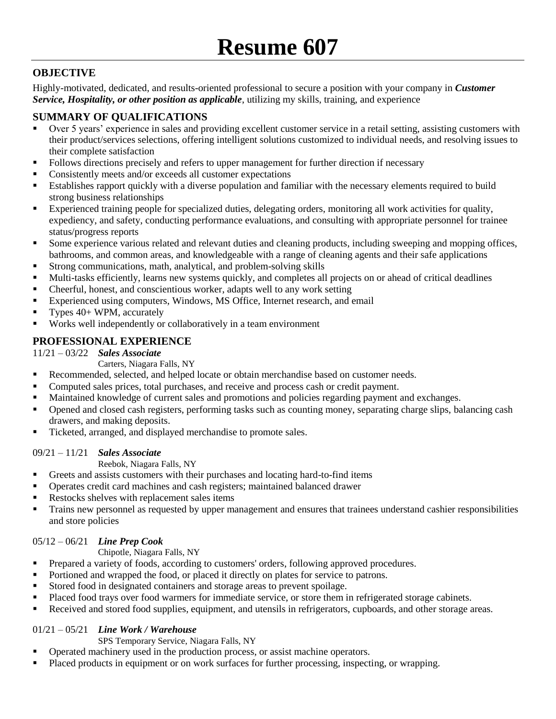# **OBJECTIVE**

Highly-motivated, dedicated, and results-oriented professional to secure a position with your company in *Customer Service, Hospitality, or other position as applicable*, utilizing my skills, training, and experience

## **SUMMARY OF QUALIFICATIONS**

- Over 5 years' experience in sales and providing excellent customer service in a retail setting, assisting customers with their product/services selections, offering intelligent solutions customized to individual needs, and resolving issues to their complete satisfaction
- Follows directions precisely and refers to upper management for further direction if necessary
- **Consistently meets and/or exceeds all customer expectations**
- **Establishes rapport quickly with a diverse population and familiar with the necessary elements required to build** strong business relationships
- Experienced training people for specialized duties, delegating orders, monitoring all work activities for quality, expediency, and safety, conducting performance evaluations, and consulting with appropriate personnel for trainee status/progress reports
- Some experience various related and relevant duties and cleaning products, including sweeping and mopping offices, bathrooms, and common areas, and knowledgeable with a range of cleaning agents and their safe applications
- Strong communications, math, analytical, and problem-solving skills
- Multi-tasks efficiently, learns new systems quickly, and completes all projects on or ahead of critical deadlines
- Cheerful, honest, and conscientious worker, adapts well to any work setting
- Experienced using computers, Windows, MS Office, Internet research, and email
- Types 40+ WPM, accurately
- Works well independently or collaboratively in a team environment

## **PROFESSIONAL EXPERIENCE**

### 11/21 – 03/22 *Sales Associate*

Carters, Niagara Falls, NY

- Recommended, selected, and helped locate or obtain merchandise based on customer needs.
- Computed sales prices, total purchases, and receive and process cash or credit payment.
- **Maintained knowledge of current sales and promotions and policies regarding payment and exchanges.**
- Opened and closed cash registers, performing tasks such as counting money, separating charge slips, balancing cash drawers, and making deposits.
- Ticketed, arranged, and displayed merchandise to promote sales.

### 09/21 – 11/21 *Sales Associate*

### Reebok, Niagara Falls, NY

- Greets and assists customers with their purchases and locating hard-to-find items
- Operates credit card machines and cash registers; maintained balanced drawer
- Restocks shelves with replacement sales items
- Trains new personnel as requested by upper management and ensures that trainees understand cashier responsibilities and store policies

## 05/12 – 06/21 *Line Prep Cook*

### Chipotle, Niagara Falls, NY

- **Prepared a variety of foods, according to customers' orders, following approved procedures.**
- Portioned and wrapped the food, or placed it directly on plates for service to patrons.
- Stored food in designated containers and storage areas to prevent spoilage.
- Placed food trays over food warmers for immediate service, or store them in refrigerated storage cabinets.
- Received and stored food supplies, equipment, and utensils in refrigerators, cupboards, and other storage areas.

## 01/21 – 05/21 *Line Work / Warehouse*

- SPS Temporary Service, Niagara Falls, NY
- Operated machinery used in the production process, or assist machine operators.
- Placed products in equipment or on work surfaces for further processing, inspecting, or wrapping.